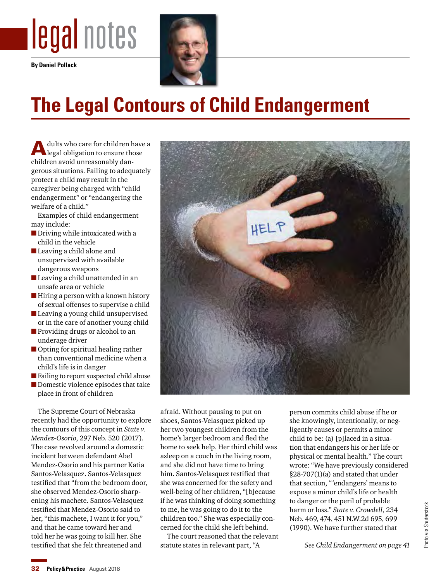# legal notes



## **The Legal Contours of Child Endangerment**

A dults who care for children have a legal obligation to ensure those children avoid unreasonably dangerous situations. Failing to adequately protect a child may result in the caregiver being charged with "child endangerment" or "endangering the welfare of a child."

Examples of child endangerment may include:

- $\blacksquare$  Driving while intoxicated with a child in the vehicle
- $\blacksquare$  Leaving a child alone and unsupervised with available dangerous weapons
- $\blacksquare$  Leaving a child unattended in an unsafe area or vehicle
- $\blacksquare$  Hiring a person with a known history of sexual offenses to supervise a child
- $\blacksquare$  Leaving a young child unsupervised or in the care of another young child
- $\blacksquare$  Providing drugs or alcohol to an underage driver
- $\Box$  Opting for spiritual healing rather than conventional medicine when a child's life is in danger
- Failing to report suspected child abuse
- $\blacksquare$  Domestic violence episodes that take place in front of children

The Supreme Court of Nebraska recently had the opportunity to explore the contours of this concept in *State v. Mendez-Osorio*, 297 Neb. 520 (2017). The case revolved around a domestic incident between defendant Abel Mendez-Osorio and his partner Katia Santos-Velasquez. Santos-Velasquez testified that "from the bedroom door, she observed Mendez-Osorio sharpening his machete. Santos-Velasquez testified that Mendez-Osorio said to her, "this machete, I want it for you," and that he came toward her and told her he was going to kill her. She testified that she felt threatened and



afraid. Without pausing to put on shoes, Santos-Velasquez picked up her two youngest children from the home's larger bedroom and fled the home to seek help. Her third child was asleep on a couch in the living room, and she did not have time to bring him. Santos-Velasquez testified that she was concerned for the safety and well-being of her children, "[b]ecause if he was thinking of doing something to me, he was going to do it to the children too." She was especially concerned for the child she left behind.

The court reasoned that the relevant statute states in relevant part, "A

person commits child abuse if he or she knowingly, intentionally, or negligently causes or permits a minor child to be: (a) [p]laced in a situation that endangers his or her life or physical or mental health." The court wrote: "We have previously considered §28-707(1)(a) and stated that under that section, " 'endangers' means to expose a minor child's life or health to danger or the peril of probable harm or loss." *State v. Crowdell*, 234 Neb. 469, 474, 451 N.W.2d 695, 699 (1990). We have further stated that